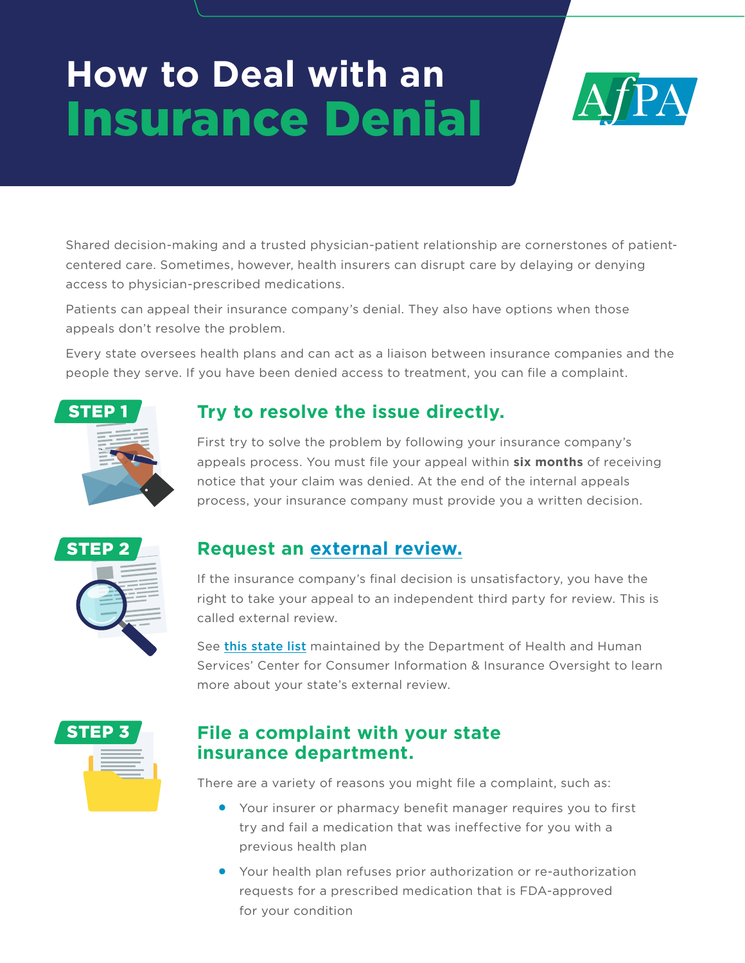# **How to Deal with an**  Insurance Denial



Shared decision-making and a trusted physician-patient relationship are cornerstones of patientcentered care. Sometimes, however, health insurers can disrupt care by delaying or denying access to physician-prescribed medications.

Patients can appeal their insurance company's denial. They also have options when those appeals don't resolve the problem.

Every state oversees health plans and can act as a liaison between insurance companies and the people they serve. If you have been denied access to treatment, you can file a complaint.



# **Try to resolve the issue directly.**

First try to solve the problem by following your insurance company's appeals process. You must file your appeal within **six months** of receiving notice that your claim was denied. At the end of the internal appeals process, your insurance company must provide you a written decision.



# **Request an [external review.](https://www.healthcare.gov/appeal-insurance-company-decision/external-review/)**

If the insurance company's final decision is unsatisfactory, you have the right to take your appeal to an independent third party for review. This is called external review.

See [this state list](https://www.cms.gov/CCIIO/Resources/Files/external_appeals) maintained by the Department of Health and Human Services' Center for Consumer Information & Insurance Oversight to learn more about your state's external review.



### **File a complaint with your state insurance department.**

There are a variety of reasons you might file a complaint, such as:

- Your insurer or pharmacy benefit manager requires you to first try and fail a medication that was ineffective for you with a previous health plan
- Your health plan refuses prior authorization or re-authorization requests for a prescribed medication that is FDA-approved for your condition